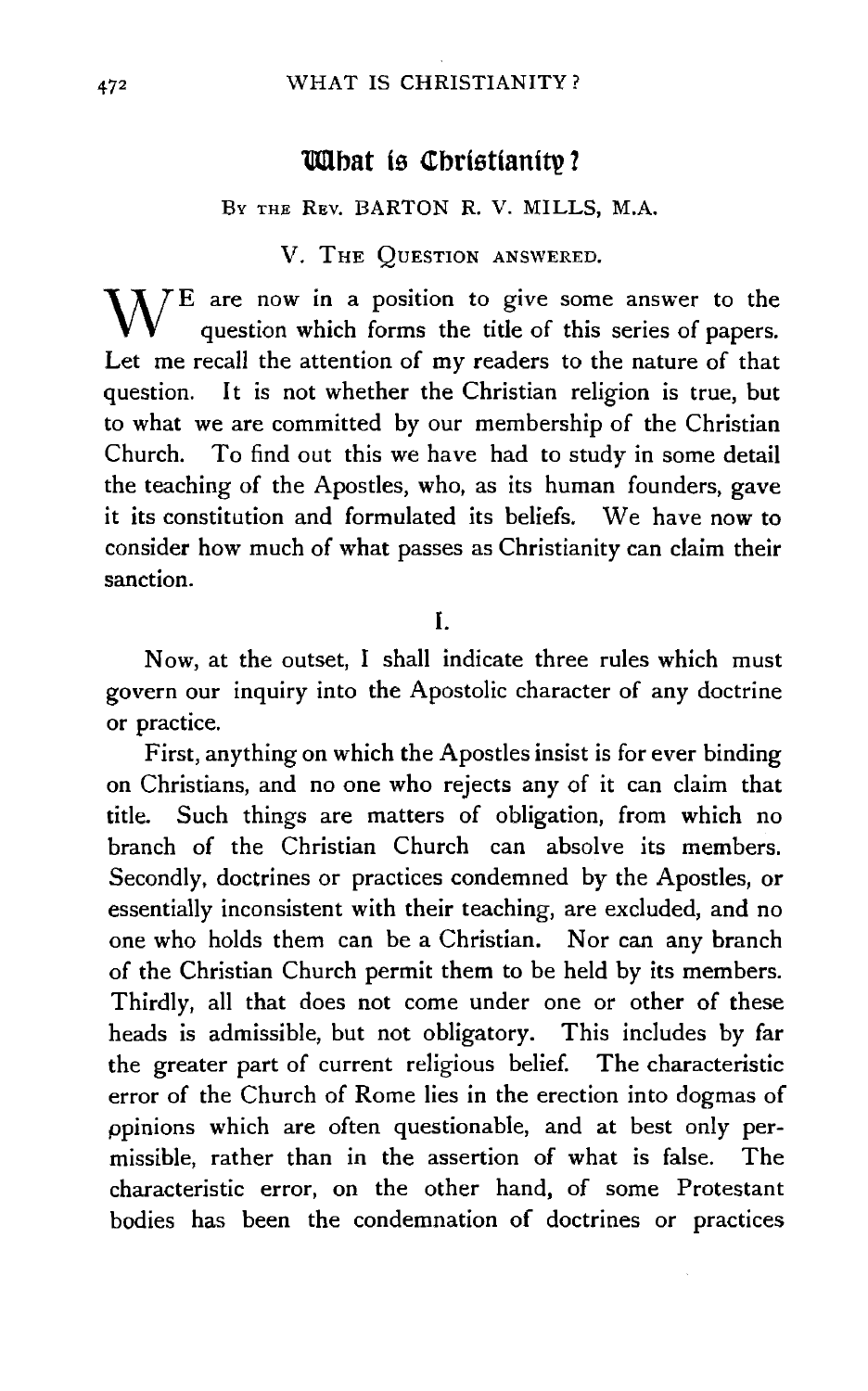# **UU**bat is Christianity?

#### Bv THE REv. BARTON R. V. MILLS, M.A.

# V. THE QUESTION ANSWERED.

 $W^E$  are now in a position to give some answer to the question which forms the title of this series of papers. Let me recall the attention of my readers to the nature of that question. It is not whether the Christian religion is true, but to what we are committed by our membership of the Christian Church. To find out this we have had to study in some detail the teaching of the Apostles, who, as its human founders, gave it its constitution and formulated its beliefs. We have now to consider how much of what passes as Christianity can claim their sanction.

#### I.

Now, at the outset, I shall indicate three rules which must govern our inquiry into the Apostolic character of any doctrine or practice.

First, anything on which the Apostles insist is for ever binding on Christians, and no one who rejects any of it can claim that title. Such things are matters of obligation, from which no branch of the Christian Church can absolve its members. Secondly, doctrines or practices condemned by the Apostles, or essentially inconsistent with their teaching, are excluded, and no one who holds them can be a Christian. Nor can any branch of the Christian Church permit them to be held by its members. Thirdly, all that does not come under one or other of these heads is admissible, but not obligatory. This includes by far the greater part of current religious belief. The characteristic error of the Church of Rome lies in the erection into dogmas of ppinions which are often questionable, and at best only permissible, rather than in the assertion of what is false. The characteristic error, on the other hand, of some Protestant bodies has been the condemnation of doctrines or practices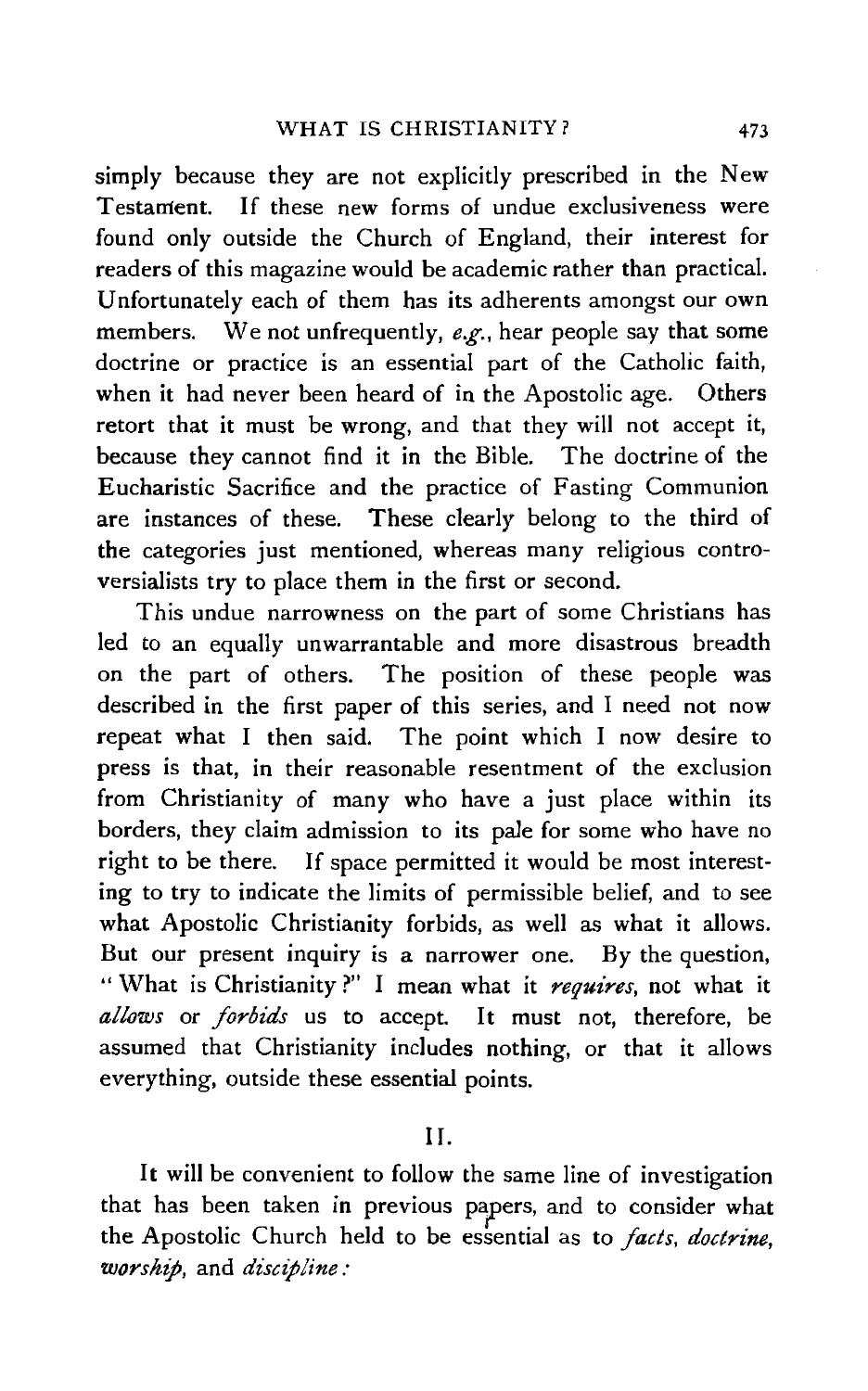simply because they are not explicitly prescribed in the New Testament. If these new forms of undue exclusiveness were found only outside the Church of England, their interest for readers of this magazine would be academic rather than practical. Unfortunately each of them has its adherents amongst our own members. We not unfrequently, *e.g.,* hear people say that some doctrine or practice is an essential part of the Catholic faith, when it had never been heard of in the Apostolic age. Others retort that it must be wrong, and that they will not accept it, because they cannot find it in the Bible. The doctrine of the Eucharistic Sacrifice and the practice of Fasting Communion are instances of these. These clearly belong to the third of the categories just mentioned, whereas many religious controversialists try to place them in the first or second.

This undue narrowness on the part of some Christians has led to an equally unwarrantable and more disastrous breadth on the part of others. The position of these people was described in the first paper of this series, and I need not now repeat what I then said. The point which I now desire to press is that, in their reasonable resentment of the exclusion from Christianity of many who have a just place within its borders, they claim admission to its pale for some who have no right to be there. If space permitted it would be most interesting to try to indicate the limits of permissible belief, and to see what Apostolic Christianity forbids, as well as what it allows. But our present inquiry is a narrower one. By the question, " What is Christianity ?" I mean what it *requires,* not what it allows or *forbids* us to accept. It must not, therefore, be assumed that Christianity includes nothing, or that it allows everything, outside these essential points.

II.

It will be convenient to follow the same line of investigation that has been taken in previous papers, and to consider what the Apostolic Church held to be essential as to *facts, doctrine*, *worship,* and *discipline:*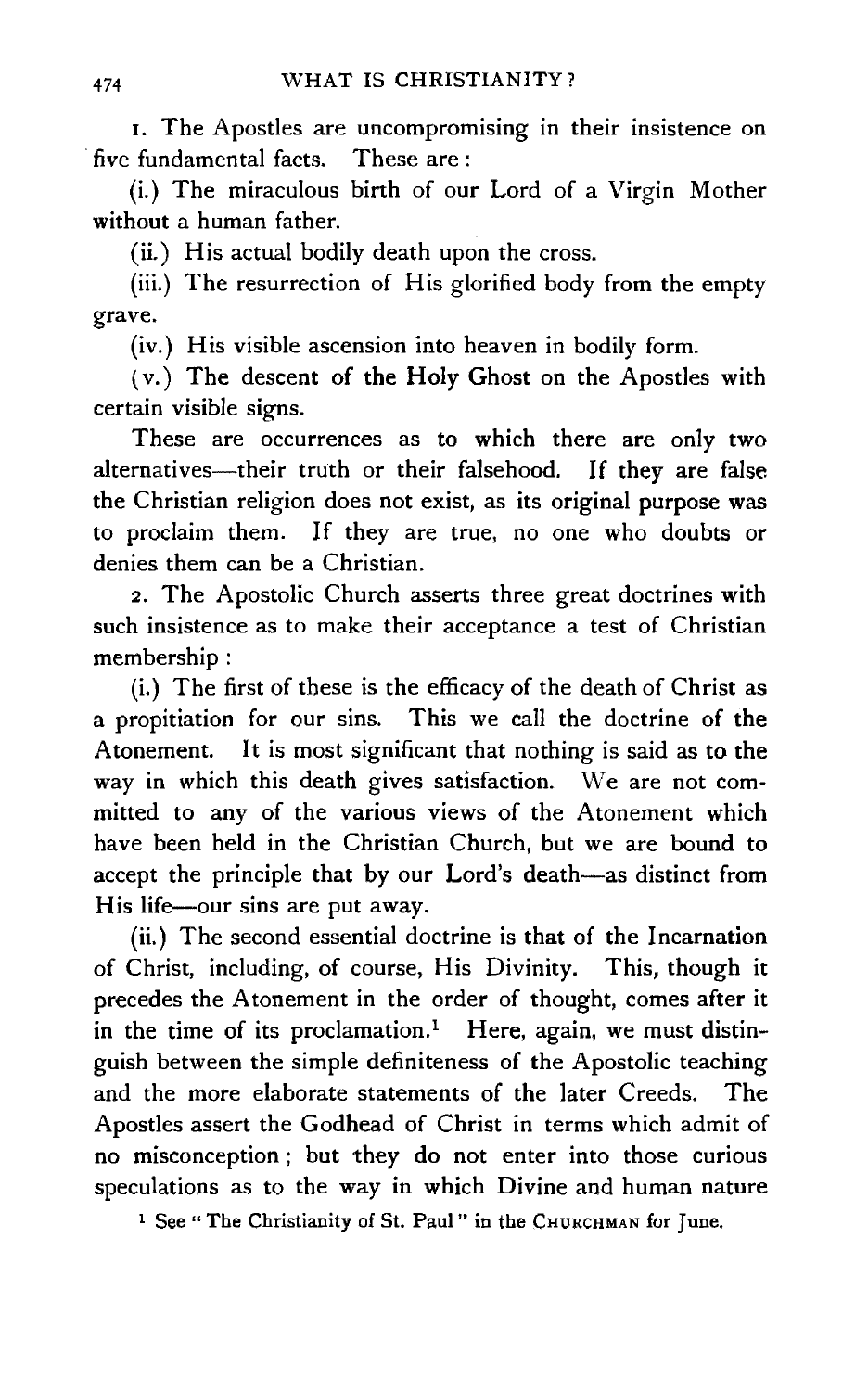r. The Apostles are uncompromising in their insistence on five fundamental facts. These are:

(i.) The miraculous birth of our Lord of a Virgin Mother without a human father.

(ii.) His actual bodily death upon the cross.

(iii.) The resurrection of His glorified body from the empty grave.

(iv.) His visible ascension into heaven in bodily form.

( v.) The descent of the Holy Ghost on the Apostles with certain visible signs.

These are occurrences as to which there are only two alternatives-their truth or their falsehood. If they are false the Christian religion does not exist, as its original purpose was to proclaim them. If they are true, no one who doubts or denies them can be a Christian.

2. The Apostolic Church asserts three great doctrines with such insistence as to make their acceptance a test of Christian membership :

(i.) The first of these is the efficacy of the death of Christ as a propitiation for our sins. This we call the doctrine of the Atonement. It is most significant that nothing is said as to the way in which this death gives satisfaction. We are not committed to any of the various views of the Atonement which have been held in the Christian Church, but we are bound to accept the principle that by our Lord's death-as distinct from His life-our sins are put away.

(ii.) The second essential doctrine is that of the Incarnation of Christ, including, of course, His Divinity. This, though it precedes the Atonement in the order of thought, comes after it in the time of its proclamation.<sup>1</sup> Here, again, we must distinguish between the simple definiteness of the Apostolic teaching and the more elaborate statements of the later Creeds. The Apostles assert the Godhead of Christ in terms which admit of no misconception ; but they do not enter into those curious speculations as to the way in which Divine and human nature

<sup>1</sup> See " The Christianity of St. Paul " in the CHURCHMAN for June.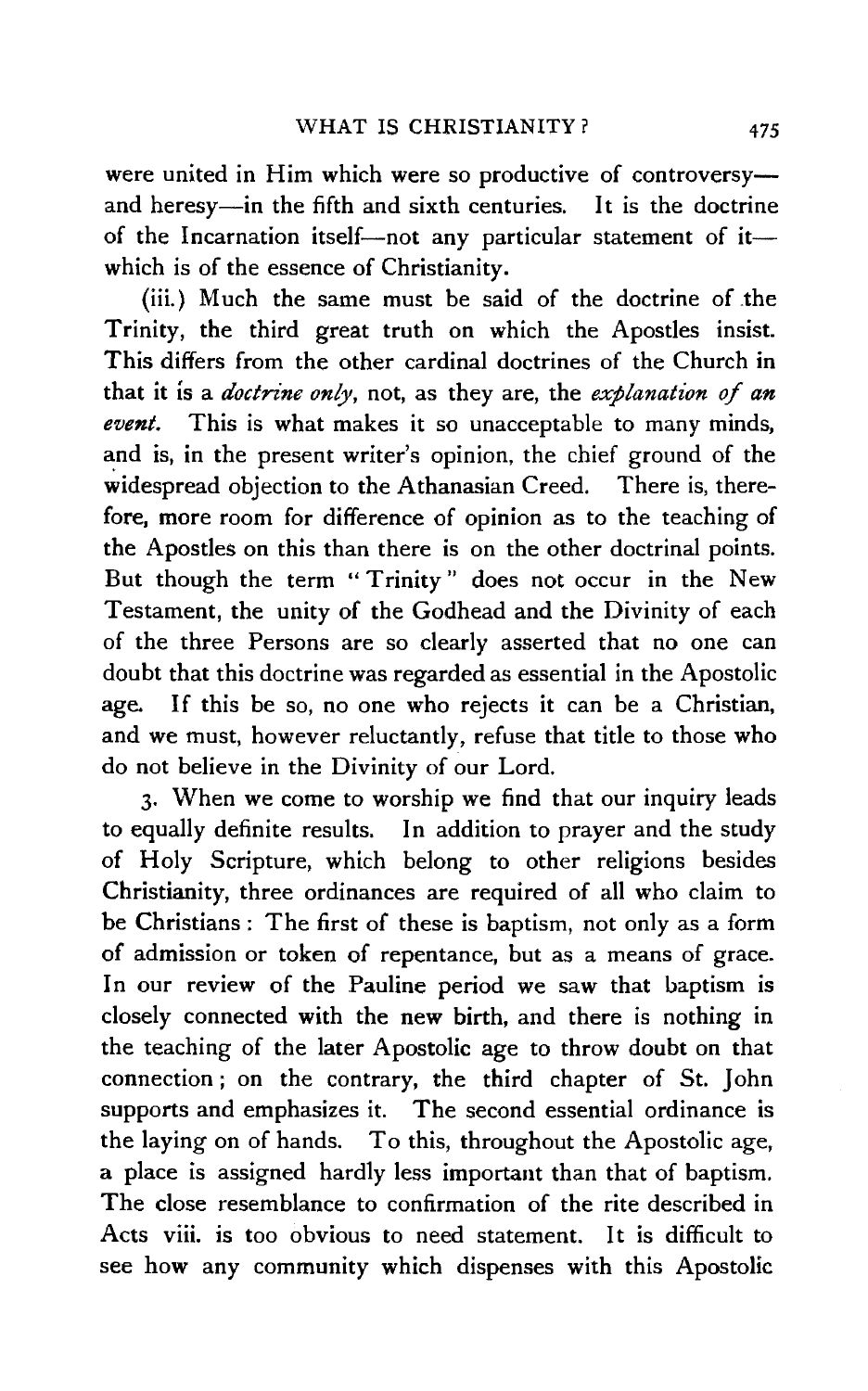were united in Him which were so productive of controversyand heresy-in the fifth and sixth centuries. It is the doctrine of the Incarnation itself-not any particular statement of itwhich is of the essence of Christianity.

(iii.) Much the same must be said of the doctrine of .the Trinity, the third great truth on which the Apostles insist. This differs from the other cardinal doctrines of the Church in that it is a *doctrine only,* not, as they are, the *explanation of an event.* This is what makes it so unacceptable to many minds, and is, in the present writer's opinion, the chief ground of the widespread objection to the Athanasian Creed. There is, therefore, more room for difference of opinion as to the teaching of the Apostles on this than there is on the other doctrinal points. But though the term "Trinity" does not occur in the New Testament, the unity of the Godhead and the Divinity of each of the three Persons are so clearly asserted that no one can doubt that this doctrine was regarded as essential in the Apostolic age. If this be so, no one who rejects it can be a Christian, and we must, however reluctantly, refuse that title to those who do not believe in the Divinity of our Lord.

3· When we come to worship we find that our inquiry leads to equally definite results. In addition to prayer and the study of Holy Scripture, which belong to other religions besides Christianity, three ordinances are required of all who claim to be Christians : The first of these is baptism, not only as a form of admission or token of repentance, but as a means of grace. In our review of the Pauline period we saw that baptism is closely connected with the new birth, and there is nothing in the teaching of the later Apostolic age to throw doubt on that connection ; on the contrary, the third chapter of St. John supports and emphasizes it. The second essential ordinance is the laying on of hands. To this, throughout the Apostolic age, a place is assigned hardly less important than that of baptism. The close resemblance to confirmation of the rite described in Acts viii. is too obvious to need statement. It is difficult to see how any community which dispenses with this Apostolic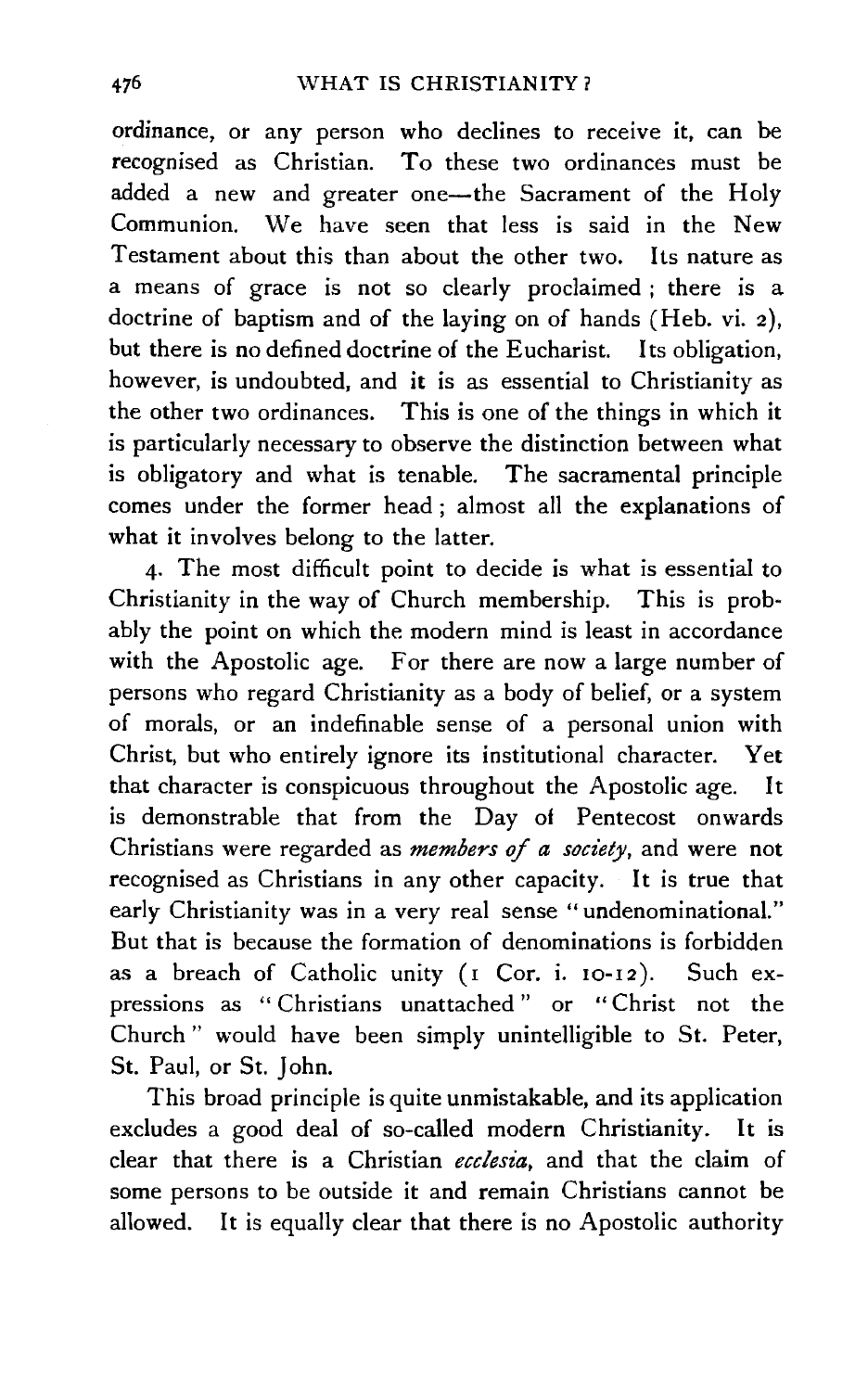ordinance, or any person who declines to receive it, can be recognised as Christian. To these two ordinances must be added a new and greater one-the Sacrament of the Holy Communion. We have seen that less is said in the New Testament about this than about the other two. Its nature as a means of grace is not so clearly proclaimed ; there is a doctrine of baptism and of the laying on of hands (Heb. vi. 2), hut there is no defined doctrine of the Eucharist. Its obligation, however, is undoubted, and it is as essential to Christianity as the other two ordinances. This is one of the things in which it is particularly necessary to observe the distinction between what is obligatory and what is tenable. The sacramental principle comes under the former head ; almost all the explanations of what it involves belong to the latter.

4· The most difficult point to decide is what is essential to Christianity in the way of Church membership. This is prob~ ably the point on which the modern mind is least in accordance with the Apostolic age. For there are now a large number of persons who regard Christianity as a body of belief, or a system of morals, or an indefinable sense of a personal union with Christ, but who entirely ignore its institutional character. Yet that character is conspicuous throughout the Apostolic age. It is demonstrable that from the Day of Pentecost onwards Christians were regarded as *members of a soc·iety,* and were not recognised as Christians in any other capacity. It is true that early Christianity was in a very real sense "undenominational." But that is because the formation of denominations is forbidden as a breach of Catholic unity (I Cor. i. 10-12 ). Such expressions as " Christians unattached " or " Christ not the Church " would have been simply unintelligible to St. Peter, St. Paul, or St. John.

This broad principle is quite unmistakable, and its application excludes a good deal of so-called modern Christianity. It is clear that there is a Christian *ecclesia,* and that the claim of some persons to be outside it and remain Christians cannot be allowed. It is equally clear that there is no Apostolic authority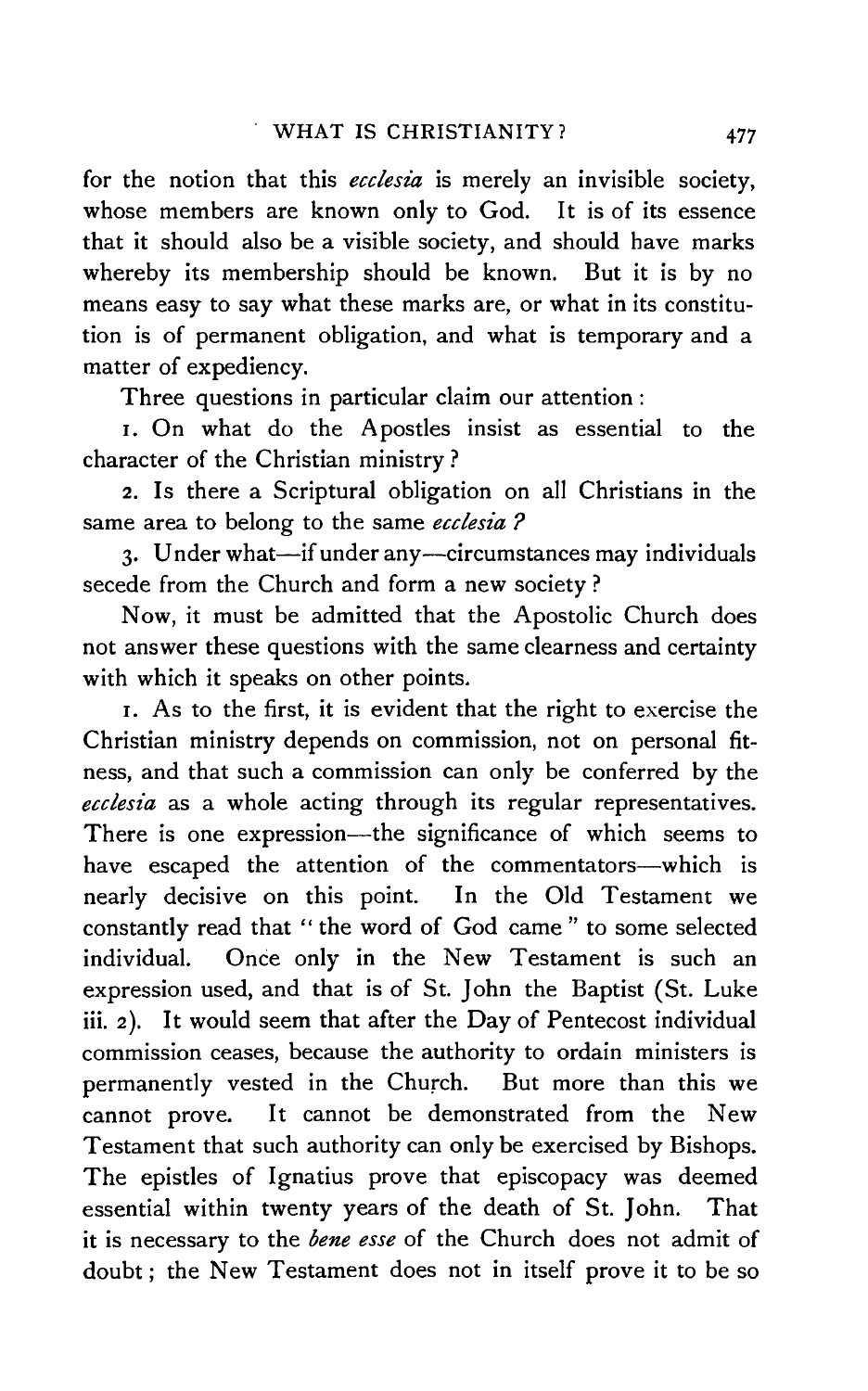for the notion that this *ecclesia* is merely an invisible society, whose members are known only to God. It is of its essence that it should also be a visible society, and should have marks whereby its membership should be known. But it is by no means easy to say what these marks are, or what in its constitution is of permanent obligation, and what is temporary and a matter of expediency.

Three questions in particular claim our attention :

I. On what do the Apostles insist as essential to the character of the Christian ministry ?

2. Is there a Scriptural obligation on all Christians in the same area to belong to the same *ecclesia ?* 

3. Under what-if under any-circumstances may individuals secede from the Church and form a new society ?

Now, it must be admitted that the Apostolic Church does not answer these questions with the same clearness and certainty with which it speaks on other points.

1. As to the first, it is evident that the right to exercise the Christian ministry depends on commission, not on personal fitness, and that such a commission can only be conferred by the *ecclesia* as a whole acting through its regular representatives. There is one expression-the significance of which seems to have escaped the attention of the commentators-which is nearly decisive on this point. In the Old Testament we constantly read that " the word of God came " to some selected individual. Once only in the New Testament is such an expression used, and that is of St. John the Baptist (St. Luke iii. 2). It would seem that after the Day of Pentecost individual commission ceases, because the authority to ordain ministers is permanently vested in the Church. But more than this we cannot prove. It cannot be demonstrated from the New Testament that such authority can only be exercised by Bishops. The epistles of Ignatius prove that episcopacy was deemed essential within twenty years of the death of St. John. That it is necessary to the *bene esse* of the Church does not admit of doubt; the New Testament does not in itself prove it to be so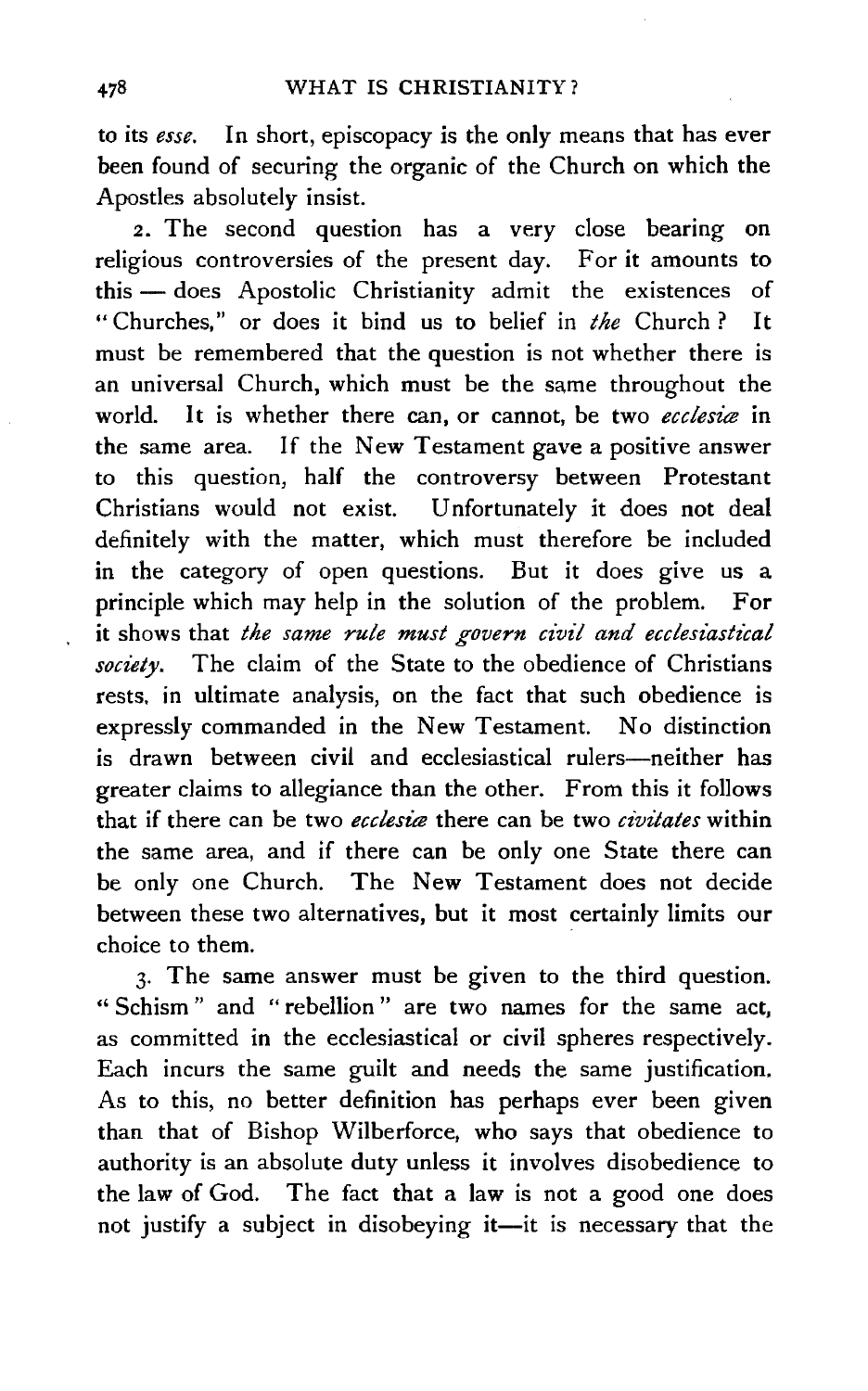to its *esse.* In short, episcopacy is the only means that has ever been found of securing the organic of the Church on which the Apostles absolutely insist.

2. The second question has a very close bearing on religious controversies of the present day. For it amounts to this - does Apostolic Christianity admit the existences of " Churches," or does it bind us to belief in *the* Church ? It must be remembered that the question is not whether there is an universal Church, which must be the same throughout the world. It is whether there can, or cannot, be two *ecclesia* in the same area. If the New Testament gave a positive answer to this question, half the controversy between Protestant Christians would not exist. Unfortunately it does not deal definitely with the matter, which must therefore be included in the category of open questions. But it does give us a principle which may help in the solution of the problem. For it shows that *the same rule must govern civil and ecclesiastical society.* The claim of the State to the obedience of Christians rests. in ultimate analysis, on the fact that such obedience is expressly commanded in the New Testament. No distinction is drawn between civil and ecclesiastical rulers-neither has greater claims to allegiance than the other. From this it follows that if there can be two *ecclesia* there can be two *civitates* within the same area, and if there can be only one State there can be only one Church. The New Testament does not decide between these two alternatives, but it most certainly limits our choice to them.

3· The same answer must be given to the third question. " Schism " and " rebellion " are two names for the same act, as committed in the ecclesiastical or civil spheres respectively. Each incurs the same guilt and needs the same justification. As to this, no better definition has perhaps ever been given than that of Bishop Wilberforce, who says that obedience to authority is an absolute duty unless it involves disobedience to the law of God. The fact that a law is not a good one does not justify a subject in disobeying it-it is necessary that the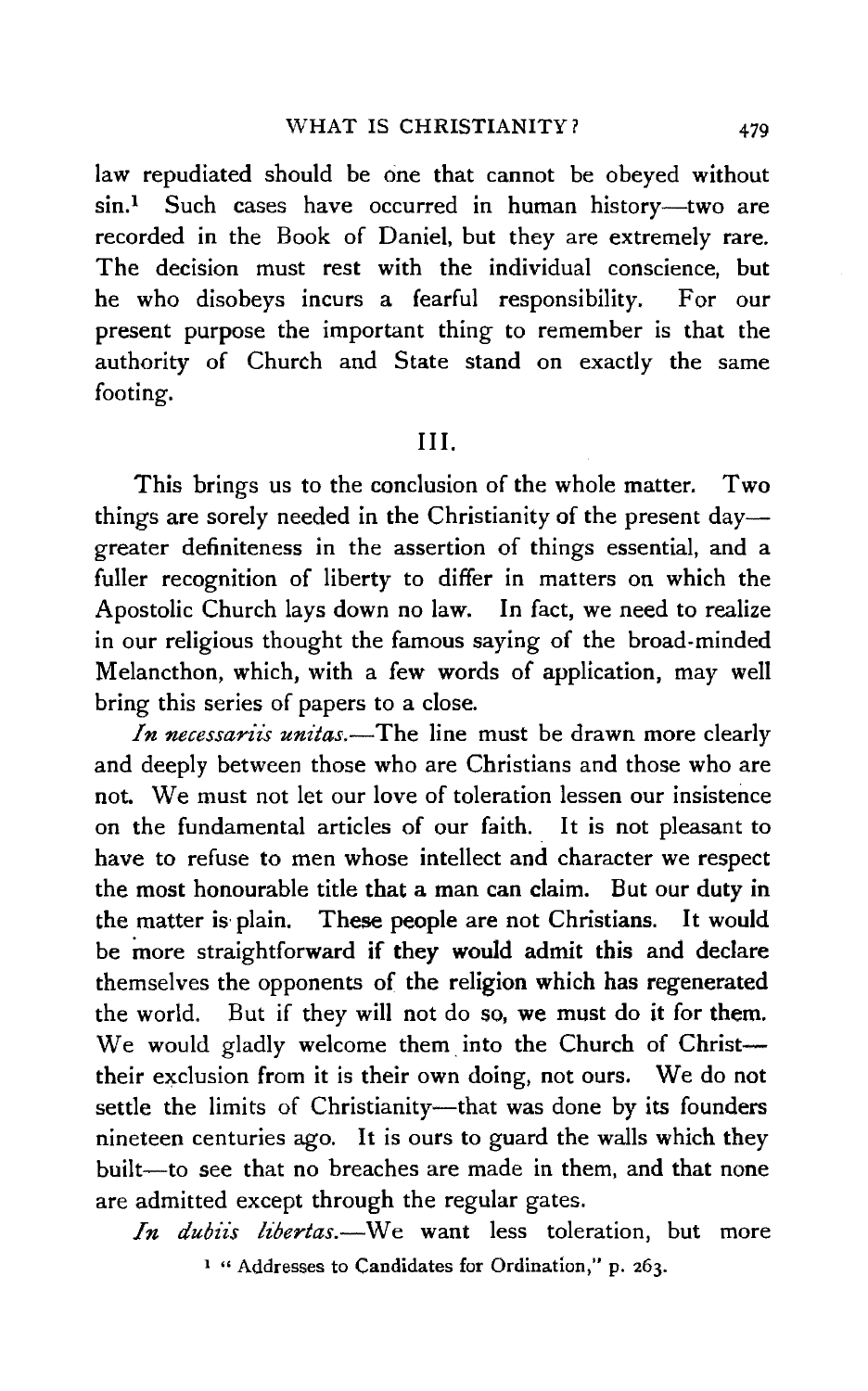law repudiated should be one that cannot be obeyed without  $sin<sup>1</sup>$  Such cases have occurred in human history-two are recorded in the Book of Daniel, but they are extremely rare. The decision must rest with the individual conscience, but he who disobeys incurs a fearful responsibility. For our present purpose the important thing to remember is that the authority of Church and State stand on exactly the same footing.

### III.

This brings us to the conclusion of the whole matter. Two things are sorely needed in the Christianity of the present day greater definiteness in the assertion of things essential, and a fuller recognition of liberty to differ in matters on which the Apostolic Church lays down no law. In fact, we need to realize in our religious thought the famous saying of the broad-minded Melancthon, which, with a few words of application, may well bring this series of papers to a close.

*In necessariis unitas.*—The line must be drawn more clearly and deeply between those who are Christians and those who are not. We must not let our love of toleration lessen our insistence on the fundamental articles of our faith. It is not pleasant to have to refuse to men whose intellect and character we respect the most honourable title that a man can claim. But our duty in the matter is· plain. These people are not Christians. It would be more straightforward if they would admit this and declare themselves the opponents of the religion which has regenerated the world. But if they will not do so, we must do it for them. We would gladly welcome them into the Church of Christtheir exclusion from it is their own doing, not ours. We do not settle the limits of Christianity-that was done by its founders nineteen centuries ago. It is ours to guard the walls which they built-to see that no breaches are made in them, and that none are admitted except through the regular gates.

*In dubiis libertas.*-We want less toleration, but more 1 " Addresses to Candidates for Ordination," p. 263.